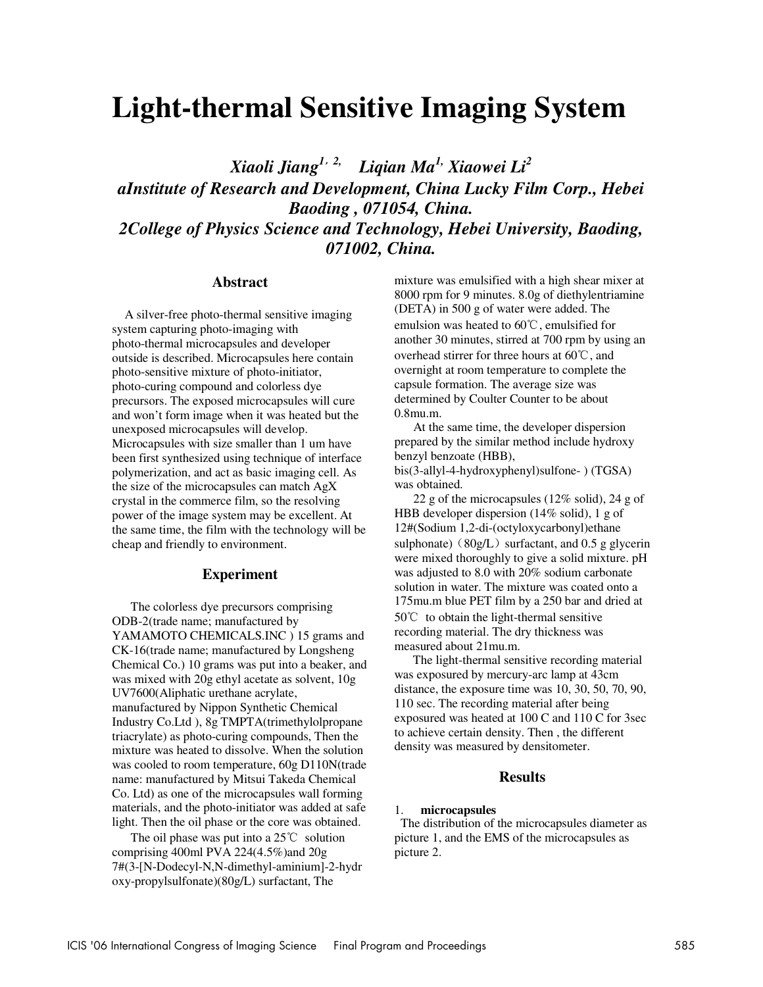# **Light-thermal Sensitive Imaging System**

*Xiaoli Jiang1*,*2, Liqian Ma1, Xiaowei Li2 aInstitute of Research and Development, China Lucky Film Corp., Hebei Baoding , 071054, China. 2College of Physics Science and Technology, Hebei University, Baoding, 071002, China.* 

## **Abstract**

 A silver-free photo-thermal sensitive imaging system capturing photo-imaging with photo-thermal microcapsules and developer outside is described. Microcapsules here contain photo-sensitive mixture of photo-initiator, photo-curing compound and colorless dye precursors. The exposed microcapsules will cure and won't form image when it was heated but the unexposed microcapsules will develop. Microcapsules with size smaller than 1 um have been first synthesized using technique of interface polymerization, and act as basic imaging cell. As the size of the microcapsules can match AgX crystal in the commerce film, so the resolving power of the image system may be excellent. At the same time, the film with the technology will be cheap and friendly to environment.

### **Experiment**

The colorless dye precursors comprising ODB-2(trade name; manufactured by YAMAMOTO CHEMICALS.INC ) 15 grams and CK-16(trade name; manufactured by Longsheng Chemical Co.) 10 grams was put into a beaker, and was mixed with 20g ethyl acetate as solvent, 10g UV7600(Aliphatic urethane acrylate, manufactured by Nippon Synthetic Chemical Industry Co.Ltd ), 8g TMPTA(trimethylolpropane triacrylate) as photo-curing compounds, Then the mixture was heated to dissolve. When the solution was cooled to room temperature, 60g D110N(trade name: manufactured by Mitsui Takeda Chemical Co. Ltd) as one of the microcapsules wall forming materials, and the photo-initiator was added at safe light. Then the oil phase or the core was obtained.

 The oil phase was put into a 25℃ solution comprising 400ml PVA 224(4.5%)and 20g 7#(3-[N-Dodecyl-N,N-dimethyl-aminium]-2-hydr oxy-propylsulfonate)(80g/L) surfactant, The

mixture was emulsified with a high shear mixer at 8000 rpm for 9 minutes. 8.0g of diethylentriamine (DETA) in 500 g of water were added. The emulsion was heated to 60℃, emulsified for another 30 minutes, stirred at 700 rpm by using an overhead stirrer for three hours at 60℃, and overnight at room temperature to complete the capsule formation. The average size was determined by Coulter Counter to be about 0.8mu.m.

 At the same time, the developer dispersion prepared by the similar method include hydroxy benzyl benzoate (HBB),

bis(3-allyl-4-hydroxyphenyl)sulfone- ) (TGSA) was obtained.

 22 g of the microcapsules (12% solid), 24 g of HBB developer dispersion (14% solid), 1 g of 12#(Sodium 1,2-di-(octyloxycarbonyl)ethane sulphonate) ( $80g/L$ ) surfactant, and 0.5 g glycerin were mixed thoroughly to give a solid mixture. pH was adjusted to 8.0 with 20% sodium carbonate solution in water. The mixture was coated onto a 175mu.m blue PET film by a 250 bar and dried at 50℃ to obtain the light-thermal sensitive recording material. The dry thickness was measured about 21mu.m.

 The light-thermal sensitive recording material was exposured by mercury-arc lamp at 43cm distance, the exposure time was 10, 30, 50, 70, 90, 110 sec. The recording material after being exposured was heated at 100 C and 110 C for 3sec to achieve certain density. Then , the different density was measured by densitometer.

### **Results**

### 1. **microcapsules**

 The distribution of the microcapsules diameter as picture 1, and the EMS of the microcapsules as picture 2.